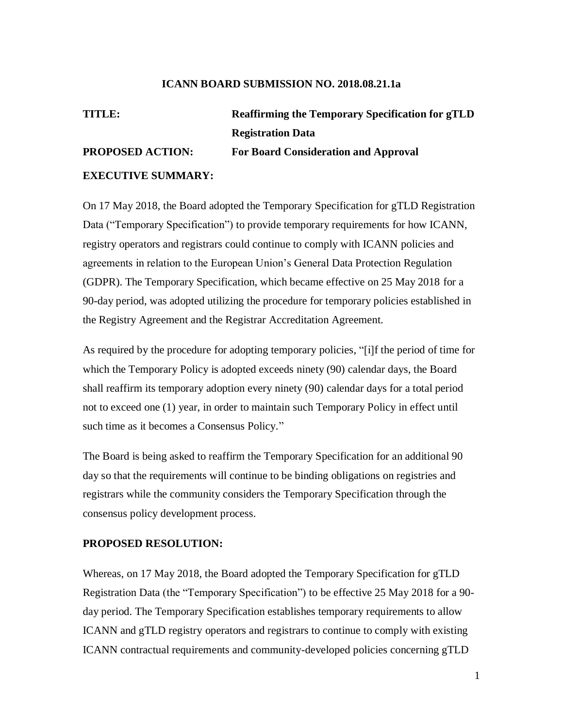#### **ICANN BOARD SUBMISSION NO. 2018.08.21.1a**

# **TITLE: Reaffirming the Temporary Specification for gTLD Registration Data PROPOSED ACTION: For Board Consideration and Approval EXECUTIVE SUMMARY:**

On 17 May 2018, the Board adopted the Temporary Specification for gTLD Registration Data ("Temporary Specification") to provide temporary requirements for how ICANN, registry operators and registrars could continue to comply with ICANN policies and agreements in relation to the European Union's General Data Protection Regulation (GDPR). The Temporary Specification, which became effective on 25 May 2018 for a 90-day period, was adopted utilizing the procedure for temporary policies established in the Registry Agreement and the Registrar Accreditation Agreement.

As required by the procedure for adopting temporary policies, "[i]f the period of time for which the Temporary Policy is adopted exceeds ninety (90) calendar days, the Board shall reaffirm its temporary adoption every ninety (90) calendar days for a total period not to exceed one (1) year, in order to maintain such Temporary Policy in effect until such time as it becomes a Consensus Policy."

The Board is being asked to reaffirm the Temporary Specification for an additional 90 day so that the requirements will continue to be binding obligations on registries and registrars while the community considers the Temporary Specification through the consensus policy development process.

### **PROPOSED RESOLUTION:**

Whereas, on 17 May 2018, the Board adopted the Temporary Specification for gTLD Registration Data (the "Temporary Specification") to be effective 25 May 2018 for a 90 day period. The Temporary Specification establishes temporary requirements to allow ICANN and gTLD registry operators and registrars to continue to comply with existing ICANN contractual requirements and community-developed policies concerning gTLD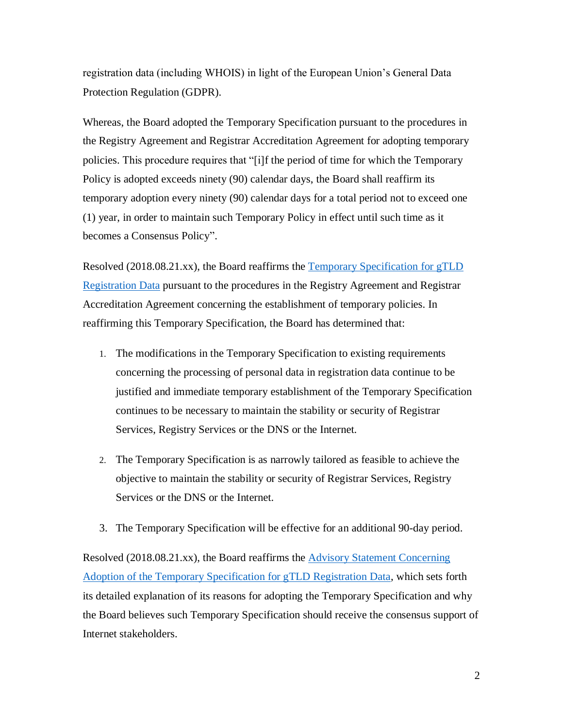registration data (including WHOIS) in light of the European Union's General Data Protection Regulation (GDPR).

Whereas, the Board adopted the Temporary Specification pursuant to the procedures in the Registry Agreement and Registrar Accreditation Agreement for adopting temporary policies. This procedure requires that "[i]f the period of time for which the Temporary Policy is adopted exceeds ninety (90) calendar days, the Board shall reaffirm its temporary adoption every ninety (90) calendar days for a total period not to exceed one (1) year, in order to maintain such Temporary Policy in effect until such time as it becomes a Consensus Policy".

Resolved (2018.08.21.xx), the Board reaffirms the [Temporary Specification for](https://www.icann.org/resources/pages/gtld-registration-data-specs-2018-05-17-en#temp-spec) gTLD [Registration Data](https://www.icann.org/resources/pages/gtld-registration-data-specs-2018-05-17-en#temp-spec) pursuant to the procedures in the Registry Agreement and Registrar Accreditation Agreement concerning the establishment of temporary policies. In reaffirming this Temporary Specification, the Board has determined that:

- 1. The modifications in the Temporary Specification to existing requirements concerning the processing of personal data in registration data continue to be justified and immediate temporary establishment of the Temporary Specification continues to be necessary to maintain the stability or security of Registrar Services, Registry Services or the DNS or the Internet.
- 2. The Temporary Specification is as narrowly tailored as feasible to achieve the objective to maintain the stability or security of Registrar Services, Registry Services or the DNS or the Internet.
- 3. The Temporary Specification will be effective for an additional 90-day period.

Resolved (2018.08.21.xx), the Board reaffirms the [Advisory Statement Concerning](https://www.icann.org/en/system/files/files/advisory-statement-gtld-registration-data-specs-17may18-en.pdf)  [Adoption of the Temporary Specification for gTLD Registration Data,](https://www.icann.org/en/system/files/files/advisory-statement-gtld-registration-data-specs-17may18-en.pdf) which sets forth its detailed explanation of its reasons for adopting the Temporary Specification and why the Board believes such Temporary Specification should receive the consensus support of Internet stakeholders.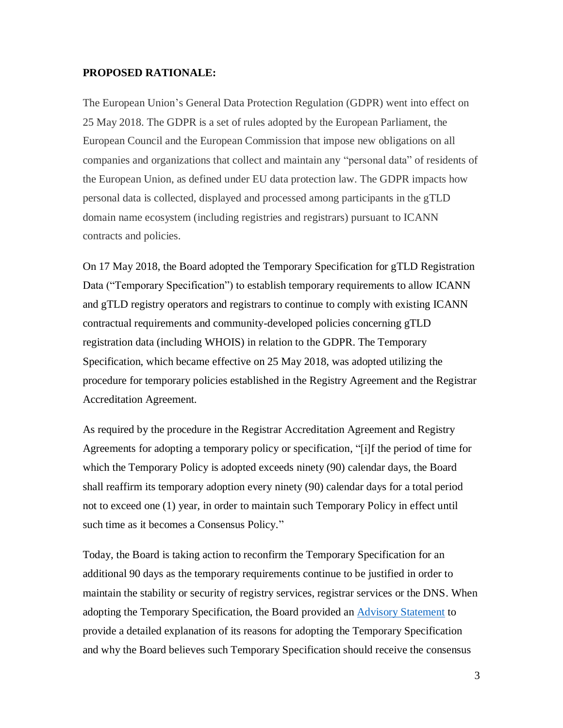### **PROPOSED RATIONALE:**

The European Union's General Data Protection Regulation (GDPR) went into effect on 25 May 2018. The GDPR is a set of rules adopted by the European Parliament, the European Council and the European Commission that impose new obligations on all companies and organizations that collect and maintain any "personal data" of residents of the European Union, as defined under EU data protection law. The GDPR impacts how personal data is collected, displayed and processed among participants in the gTLD domain name ecosystem (including registries and registrars) pursuant to ICANN contracts and policies.

On 17 May 2018, the Board adopted the Temporary Specification for gTLD Registration Data ("Temporary Specification") to establish temporary requirements to allow ICANN and gTLD registry operators and registrars to continue to comply with existing ICANN contractual requirements and community-developed policies concerning gTLD registration data (including WHOIS) in relation to the GDPR. The Temporary Specification, which became effective on 25 May 2018, was adopted utilizing the procedure for temporary policies established in the Registry Agreement and the Registrar Accreditation Agreement.

As required by the procedure in the Registrar Accreditation Agreement and Registry Agreements for adopting a temporary policy or specification, "[i]f the period of time for which the Temporary Policy is adopted exceeds ninety (90) calendar days, the Board shall reaffirm its temporary adoption every ninety (90) calendar days for a total period not to exceed one (1) year, in order to maintain such Temporary Policy in effect until such time as it becomes a Consensus Policy."

Today, the Board is taking action to reconfirm the Temporary Specification for an additional 90 days as the temporary requirements continue to be justified in order to maintain the stability or security of registry services, registrar services or the DNS. When adopting the Temporary Specification, the Board provided an [Advisory Statement](https://www.icann.org/en/system/files/files/advisory-statement-gtld-registration-data-specs-17may18-en.pdf) to provide a detailed explanation of its reasons for adopting the Temporary Specification and why the Board believes such Temporary Specification should receive the consensus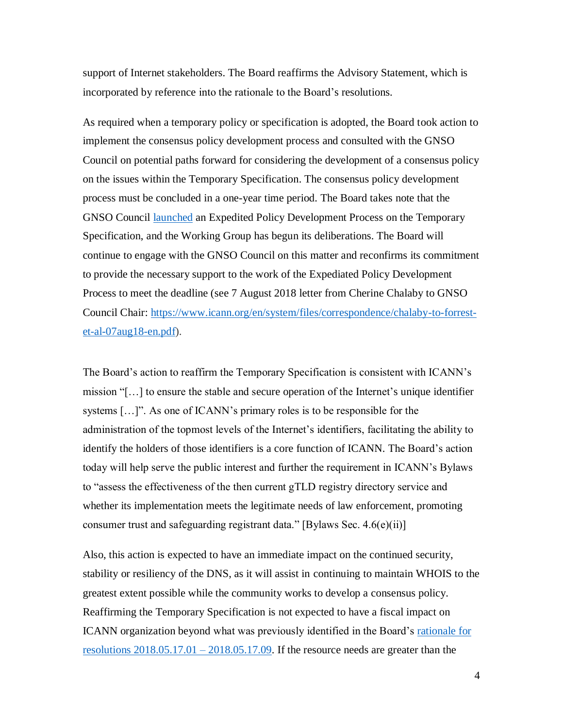support of Internet stakeholders. The Board reaffirms the Advisory Statement, which is incorporated by reference into the rationale to the Board's resolutions.

As required when a temporary policy or specification is adopted, the Board took action to implement the consensus policy development process and consulted with the GNSO Council on potential paths forward for considering the development of a consensus policy on the issues within the Temporary Specification. The consensus policy development process must be concluded in a one-year time period. The Board takes note that the GNSO Council [launched](https://www.icann.org/news/blog/gnso-council-launches-edpd-on-the-temporary-specification-for-gtld-registration-data) an Expedited Policy Development Process on the Temporary Specification, and the Working Group has begun its deliberations. The Board will continue to engage with the GNSO Council on this matter and reconfirms its commitment to provide the necessary support to the work of the Expediated Policy Development Process to meet the deadline (see 7 August 2018 letter from Cherine Chalaby to GNSO Council Chair: [https://www.icann.org/en/system/files/correspondence/chalaby-to-forrest](https://www.icann.org/en/system/files/correspondence/chalaby-to-forrest-et-al-07aug18-en.pdf)[et-al-07aug18-en.pdf\)](https://www.icann.org/en/system/files/correspondence/chalaby-to-forrest-et-al-07aug18-en.pdf).

The Board's action to reaffirm the Temporary Specification is consistent with ICANN's mission "[…] to ensure the stable and secure operation of the Internet's unique identifier systems […]". As one of ICANN's primary roles is to be responsible for the administration of the topmost levels of the Internet's identifiers, facilitating the ability to identify the holders of those identifiers is a core function of ICANN. The Board's action today will help serve the public interest and further the requirement in ICANN's Bylaws to "assess the effectiveness of the then current gTLD registry directory service and whether its implementation meets the legitimate needs of law enforcement, promoting consumer trust and safeguarding registrant data." [Bylaws Sec.  $4.6(e)(ii)$ ]

Also, this action is expected to have an immediate impact on the continued security, stability or resiliency of the DNS, as it will assist in continuing to maintain WHOIS to the greatest extent possible while the community works to develop a consensus policy. Reaffirming the Temporary Specification is not expected to have a fiscal impact on ICANN organization beyond what was previously identified in the Board's [rationale](https://www.icann.org/resources/board-material/resolutions-2018-05-17-en#1.a.rationale) for resolutions  $2018.05.17.01 - 2018.05.17.09$ . If the resource needs are greater than the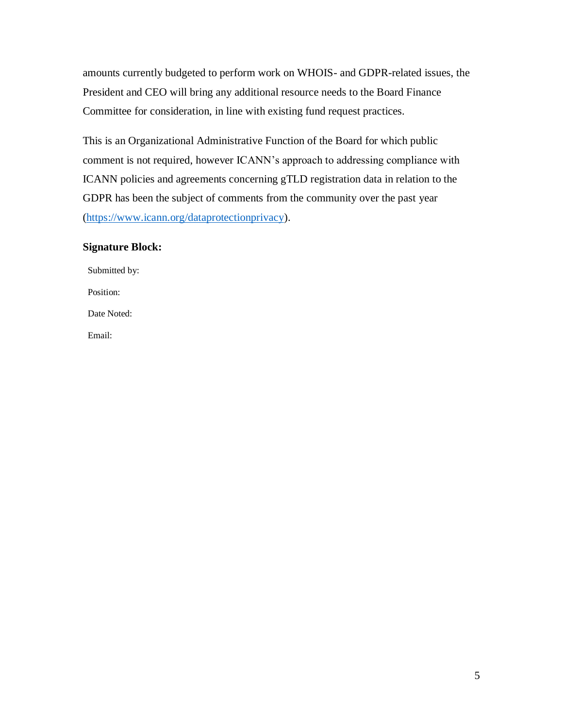amounts currently budgeted to perform work on WHOIS- and GDPR-related issues, the President and CEO will bring any additional resource needs to the Board Finance Committee for consideration, in line with existing fund request practices.

This is an Organizational Administrative Function of the Board for which public comment is not required, however ICANN's approach to addressing compliance with ICANN policies and agreements concerning gTLD registration data in relation to the GDPR has been the subject of comments from the community over the past year [\(https://www.icann.org/dataprotectionprivacy\)](https://www.icann.org/dataprotectionprivacy).

## **Signature Block:**

| Submitted by: |
|---------------|
| Position:     |
| Date Noted:   |
| Email:        |
|               |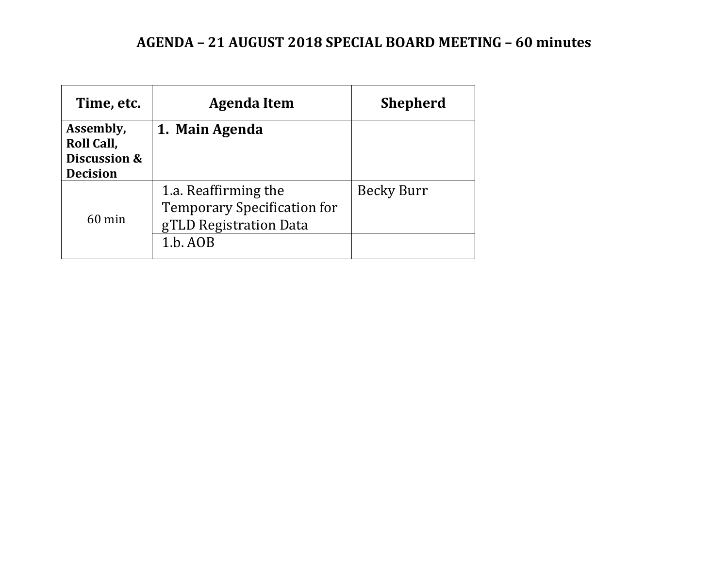# **AGENDA – 21 AUGUST 2018 SPECIAL BOARD MEETING – 60 minutes**

| Time, etc.                              | Agenda Item                                                                          | <b>Shepherd</b>   |
|-----------------------------------------|--------------------------------------------------------------------------------------|-------------------|
| Assembly,<br>Roll Call,<br>Discussion & | 1. Main Agenda                                                                       |                   |
| <b>Decision</b><br>$60$ min             | 1.a. Reaffirming the<br><b>Temporary Specification for</b><br>gTLD Registration Data | <b>Becky Burr</b> |
|                                         | 1.b. AOB                                                                             |                   |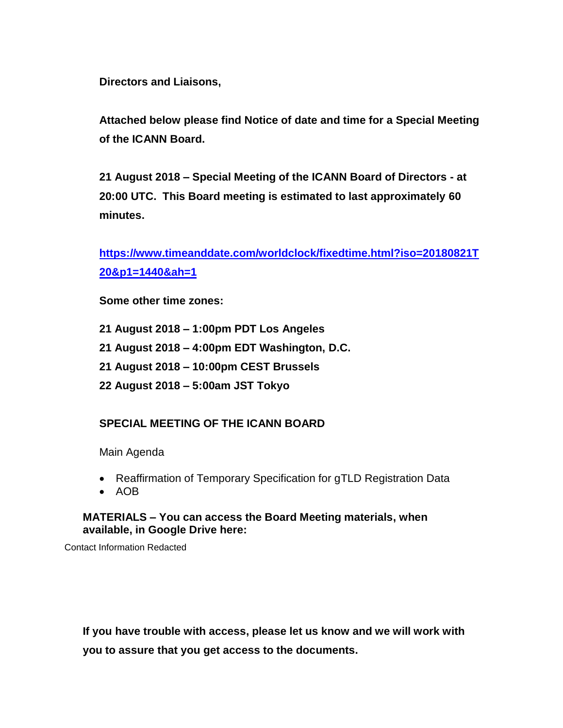**Directors and Liaisons,**

**Attached below please find Notice of date and time for a Special Meeting of the ICANN Board.** 

**21 August 2018 – Special Meeting of the ICANN Board of Directors - at 20:00 UTC. This Board meeting is estimated to last approximately 60 minutes.**

**[https://www.timeanddate.com/worldclock/fixedtime.html?iso=20180821T](https://www.timeanddate.com/worldclock/fixedtime.html?iso=20180821T20&p1=1440&ah=1) [20&p1=1440&ah=1](https://www.timeanddate.com/worldclock/fixedtime.html?iso=20180821T20&p1=1440&ah=1)**

**Some other time zones:**

- **21 August 2018 – 1:00pm PDT Los Angeles**
- **21 August 2018 – 4:00pm EDT Washington, D.C.**
- **21 August 2018 – 10:00pm CEST Brussels**
- **22 August 2018 – 5:00am JST Tokyo**

## **SPECIAL MEETING OF THE ICANN BOARD**

Main Agenda

- Reaffirmation of Temporary Specification for gTLD Registration Data
- AOB

## **MATERIALS – You can access the Board Meeting materials, when available, in Google Drive here:**

Contact Information Redacted

**If you have trouble with access, please let us know and we will work with you to assure that you get access to the documents.**